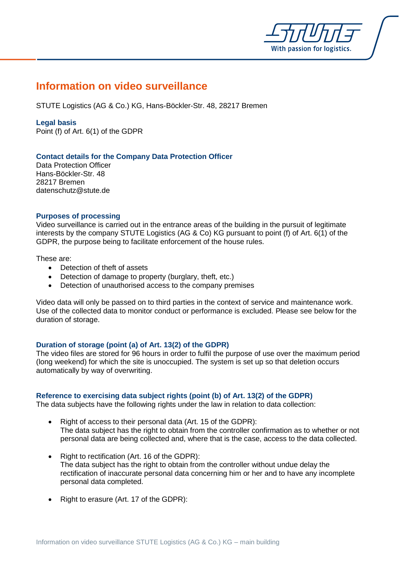

# **Information on video surveillance**

STUTE Logistics (AG & Co.) KG, Hans-Böckler-Str. 48, 28217 Bremen

### **Legal basis**

Point (f) of Art. 6(1) of the GDPR

## **Contact details for the Company Data Protection Officer**

Data Protection Officer Hans-Böckler-Str. 48 28217 Bremen datenschutz@stute.de

#### **Purposes of processing**

Video surveillance is carried out in the entrance areas of the building in the pursuit of legitimate interests by the company STUTE Logistics (AG & Co) KG pursuant to point (f) of Art. 6(1) of the GDPR, the purpose being to facilitate enforcement of the house rules.

#### These are:

- Detection of theft of assets
- Detection of damage to property (burglary, theft, etc.)
- Detection of unauthorised access to the company premises

Video data will only be passed on to third parties in the context of service and maintenance work. Use of the collected data to monitor conduct or performance is excluded. Please see below for the duration of storage.

## **Duration of storage (point (a) of Art. 13(2) of the GDPR)**

The video files are stored for 96 hours in order to fulfil the purpose of use over the maximum period (long weekend) for which the site is unoccupied. The system is set up so that deletion occurs automatically by way of overwriting.

## **Reference to exercising data subject rights (point (b) of Art. 13(2) of the GDPR)**

The data subjects have the following rights under the law in relation to data collection:

- Right of access to their personal data (Art. 15 of the GDPR): The data subject has the right to obtain from the controller confirmation as to whether or not personal data are being collected and, where that is the case, access to the data collected.
- Right to rectification (Art. 16 of the GDPR): The data subject has the right to obtain from the controller without undue delay the rectification of inaccurate personal data concerning him or her and to have any incomplete personal data completed.
- Right to erasure (Art. 17 of the GDPR):